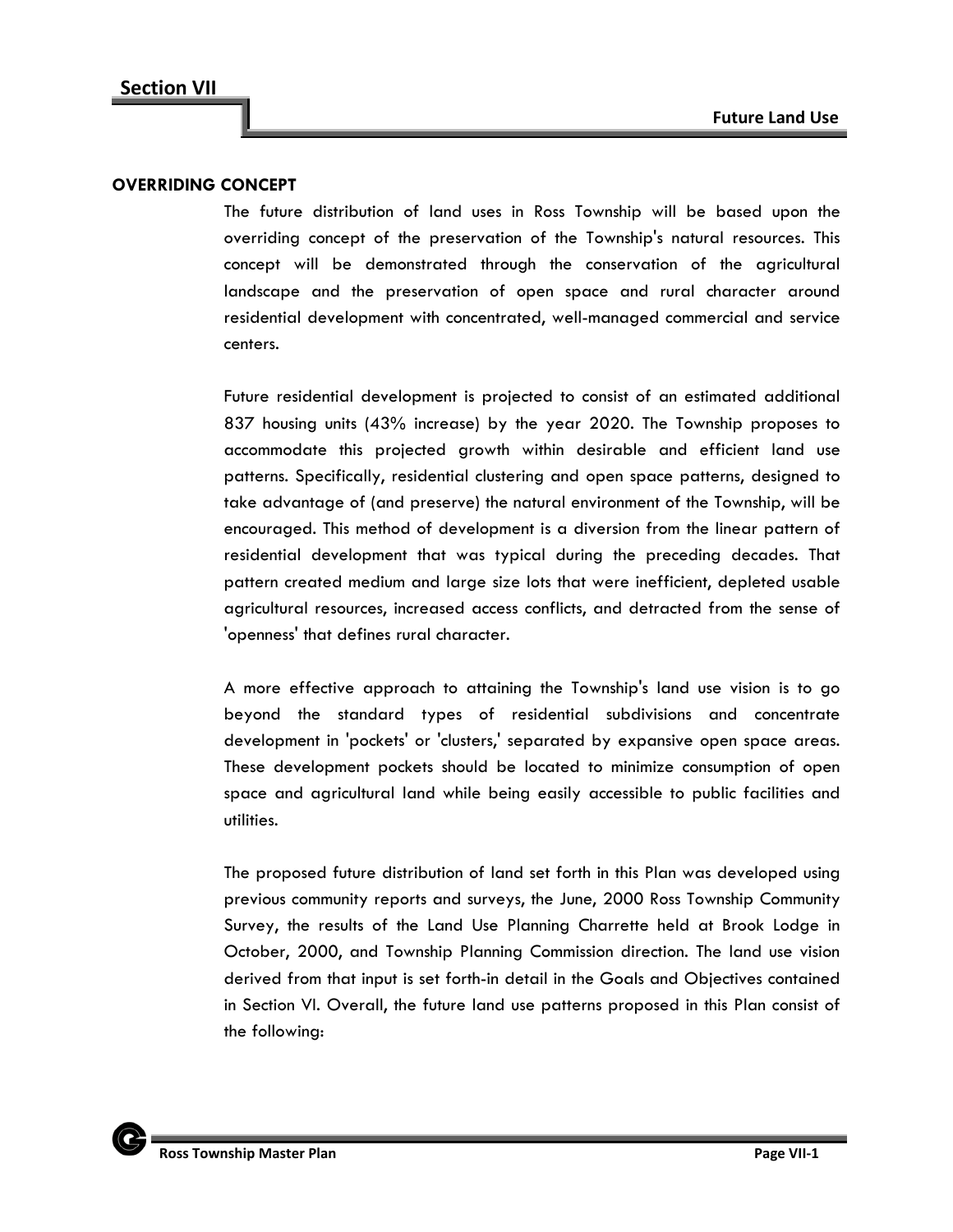#### **OVERRIDING CONCEPT**

The future distribution of land uses in Ross Township will be based upon the overriding concept of the preservation of the Township's natural resources. This concept will be demonstrated through the conservation of the agricultural landscape and the preservation of open space and rural character around residential development with concentrated, well-managed commercial and service centers.

Future residential development is projected to consist of an estimated additional 837 housing units (43% increase) by the year 2020. The Township proposes to accommodate this projected growth within desirable and efficient land use patterns. Specifically, residential clustering and open space patterns, designed to take advantage of (and preserve) the natural environment of the Township, will be encouraged. This method of development is a diversion from the linear pattern of residential development that was typical during the preceding decades. That pattern created medium and large size lots that were inefficient, depleted usable agricultural resources, increased access conflicts, and detracted from the sense of 'openness' that defines rural character.

A more effective approach to attaining the Township's land use vision is to go beyond the standard types of residential subdivisions and concentrate development in 'pockets' or 'clusters,' separated by expansive open space areas. These development pockets should be located to minimize consumption of open space and agricultural land while being easily accessible to public facilities and utilities.

The proposed future distribution of land set forth in this Plan was developed using previous community reports and surveys, the June, 2000 Ross Township Community Survey, the results of the Land Use Planning Charrette held at Brook Lodge in October, 2000, and Township Planning Commission direction. The land use vision derived from that input is set forth-in detail in the Goals and Objectives contained in Section VI. Overall, the future land use patterns proposed in this Plan consist of the following:

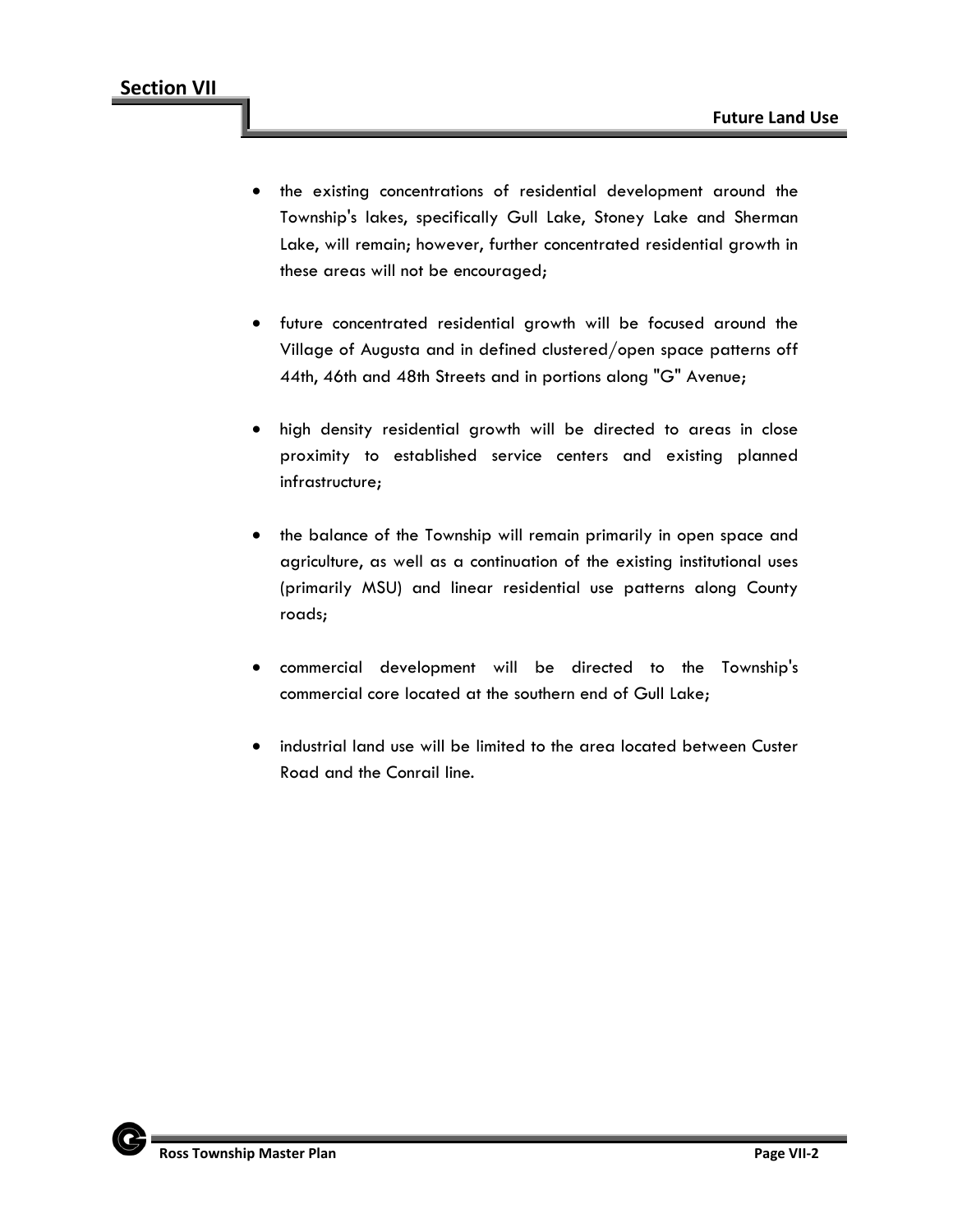- the existing concentrations of residential development around the Township's lakes, specifically Gull Lake, Stoney Lake and Sherman Lake, will remain; however, further concentrated residential growth in these areas will not be encouraged;
- future concentrated residential growth will be focused around the Village of Augusta and in defined clustered/open space patterns off 44th, 46th and 48th Streets and in portions along "G" Avenue;
- high density residential growth will be directed to areas in close proximity to established service centers and existing planned infrastructure;
- the balance of the Township will remain primarily in open space and agriculture, as well as a continuation of the existing institutional uses (primarily MSU) and linear residential use patterns along County roads;
- commercial development will be directed to the Township's commercial core located at the southern end of Gull Lake;
- industrial land use will be limited to the area located between Custer Road and the Conrail line.

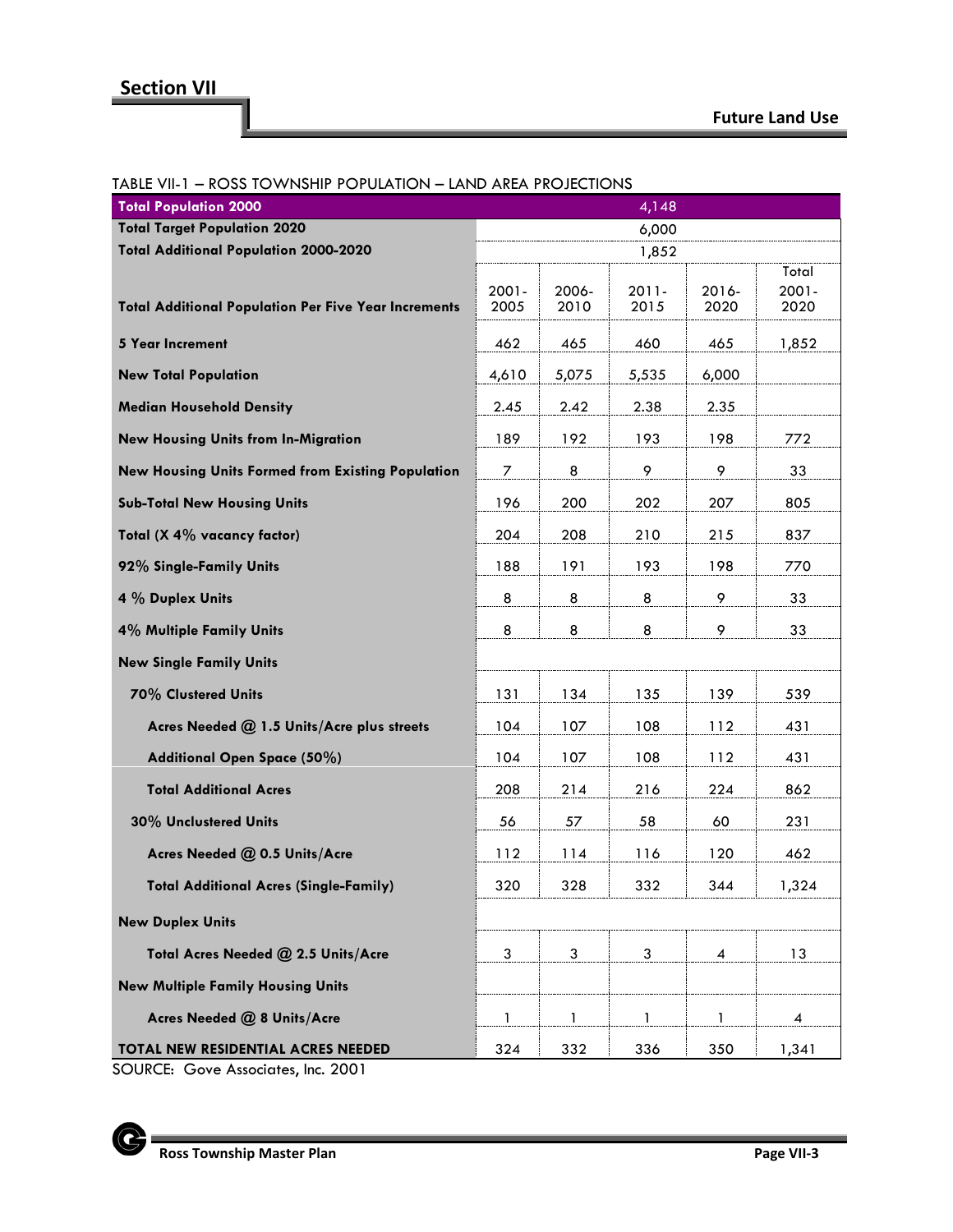# **Section VII**

## **Future Land Use**

| <b>Total Population 2000</b>                                | 4,148            |               |                  |               |                           |
|-------------------------------------------------------------|------------------|---------------|------------------|---------------|---------------------------|
| <b>Total Target Population 2020</b>                         | 6,000            |               |                  |               |                           |
| <b>Total Additional Population 2000-2020</b>                | 1,852            |               |                  |               |                           |
| <b>Total Additional Population Per Five Year Increments</b> | $2001 -$<br>2005 | 2006-<br>2010 | $2011 -$<br>2015 | 2016-<br>2020 | Total<br>$2001 -$<br>2020 |
| <b>5 Year Increment</b>                                     | 462              | 465           | 460              | 465           | 1,852                     |
| <b>New Total Population</b>                                 | 4,610            | 5,075         | 5,535            | 6,000         |                           |
| <b>Median Household Density</b>                             | 2.45             | 2.42          | 2.38             | 2.35          |                           |
| <b>New Housing Units from In-Migration</b>                  | 189              | 192           | 193              | 198           | 772                       |
| New Housing Units Formed from Existing Population           | 7                | 8             | 9                | 9             | 33                        |
| <b>Sub-Total New Housing Units</b>                          | 196              | 200           | 202              | 207           | 805                       |
| Total (X 4% vacancy factor)                                 | 204              | 208           | 210              | 215           | 837                       |
| 92% Single-Family Units                                     | 188              | 191           | 193              | 198           | 770                       |
| 4 % Duplex Units                                            | 8                | 8             | 8                | 9             | 33                        |
| 4% Multiple Family Units                                    | 8                | 8             | 8                | 9             | 33                        |
| <b>New Single Family Units</b>                              |                  |               |                  |               |                           |
| 70% Clustered Units                                         | 131              | 134           | 135              | 139           | 539                       |
| Acres Needed @ 1.5 Units/Acre plus streets                  | 104              | 107           | 108              | 112           | 431                       |
| Additional Open Space (50%)                                 | 104              | 107           | 108              | 112           | 431                       |
| <b>Total Additional Acres</b>                               | 208              | 214           | 216              | 224           | 862                       |
| 30% Unclustered Units                                       | 56               | 57            | 58               | 60            | 231                       |
| Acres Needed @ 0.5 Units/Acre                               | 112              | 114           | 116              | 120           | 462                       |
| <b>Total Additional Acres (Single-Family)</b>               | 320              | 328           | 332              | 344           | 1,324                     |
| <b>New Duplex Units</b>                                     |                  |               |                  |               |                           |
| Total Acres Needed @ 2.5 Units/Acre                         | 3                | 3             | 3                | 4             | 13                        |
| <b>New Multiple Family Housing Units</b>                    |                  |               |                  |               |                           |
| Acres Needed @ 8 Units/Acre                                 | 1                | 1             | 1                | 1             | 4                         |
| <b>TOTAL NEW RESIDENTIAL ACRES NEEDED</b>                   | 324              | 332           | 336              | 350           | 1,341                     |

## TABLE VII-1 – ROSS TOWNSHIP POPULATION – LAND AREA PROJECTIONS

SOURCE: Gove Associates, Inc. 2001

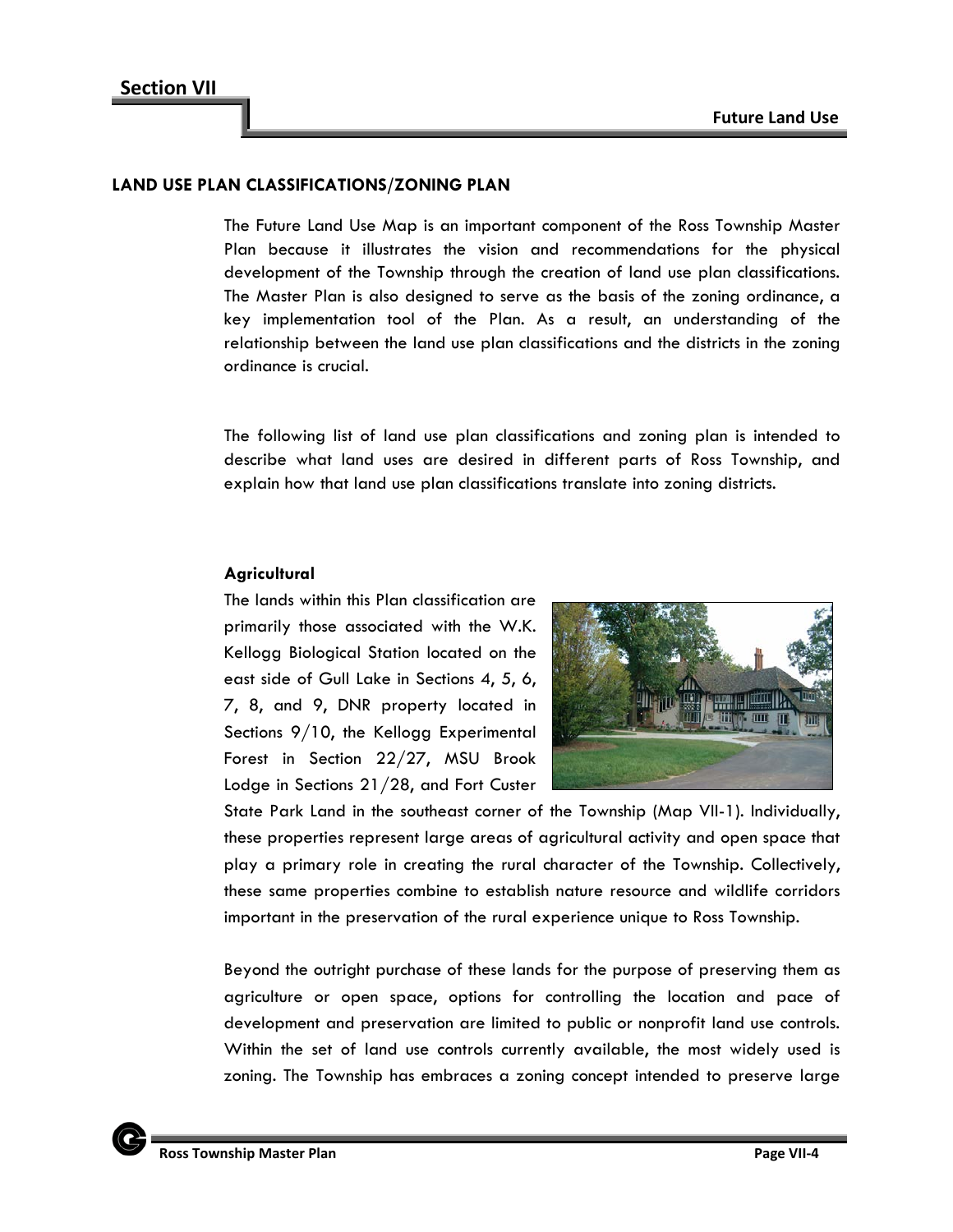#### **LAND USE PLAN CLASSIFICATIONS/ZONING PLAN**

The Future Land Use Map is an important component of the Ross Township Master Plan because it illustrates the vision and recommendations for the physical development of the Township through the creation of land use plan classifications. The Master Plan is also designed to serve as the basis of the zoning ordinance, a key implementation tool of the Plan. As a result, an understanding of the relationship between the land use plan classifications and the districts in the zoning ordinance is crucial.

The following list of land use plan classifications and zoning plan is intended to describe what land uses are desired in different parts of Ross Township, and explain how that land use plan classifications translate into zoning districts.

## **Agricultural**

The lands within this Plan classification are primarily those associated with the W.K. Kellogg Biological Station located on the east side of Gull Lake in Sections 4, 5, 6, 7, 8, and 9, DNR property located in Sections 9/10, the Kellogg Experimental Forest in Section 22/27, MSU Brook Lodge in Sections 21/28, and Fort Custer



State Park Land in the southeast corner of the Township (Map VII-1). Individually, these properties represent large areas of agricultural activity and open space that play a primary role in creating the rural character of the Township. Collectively, these same properties combine to establish nature resource and wildlife corridors important in the preservation of the rural experience unique to Ross Township.

Beyond the outright purchase of these lands for the purpose of preserving them as agriculture or open space, options for controlling the location and pace of development and preservation are limited to public or nonprofit land use controls. Within the set of land use controls currently available, the most widely used is zoning. The Township has embraces a zoning concept intended to preserve large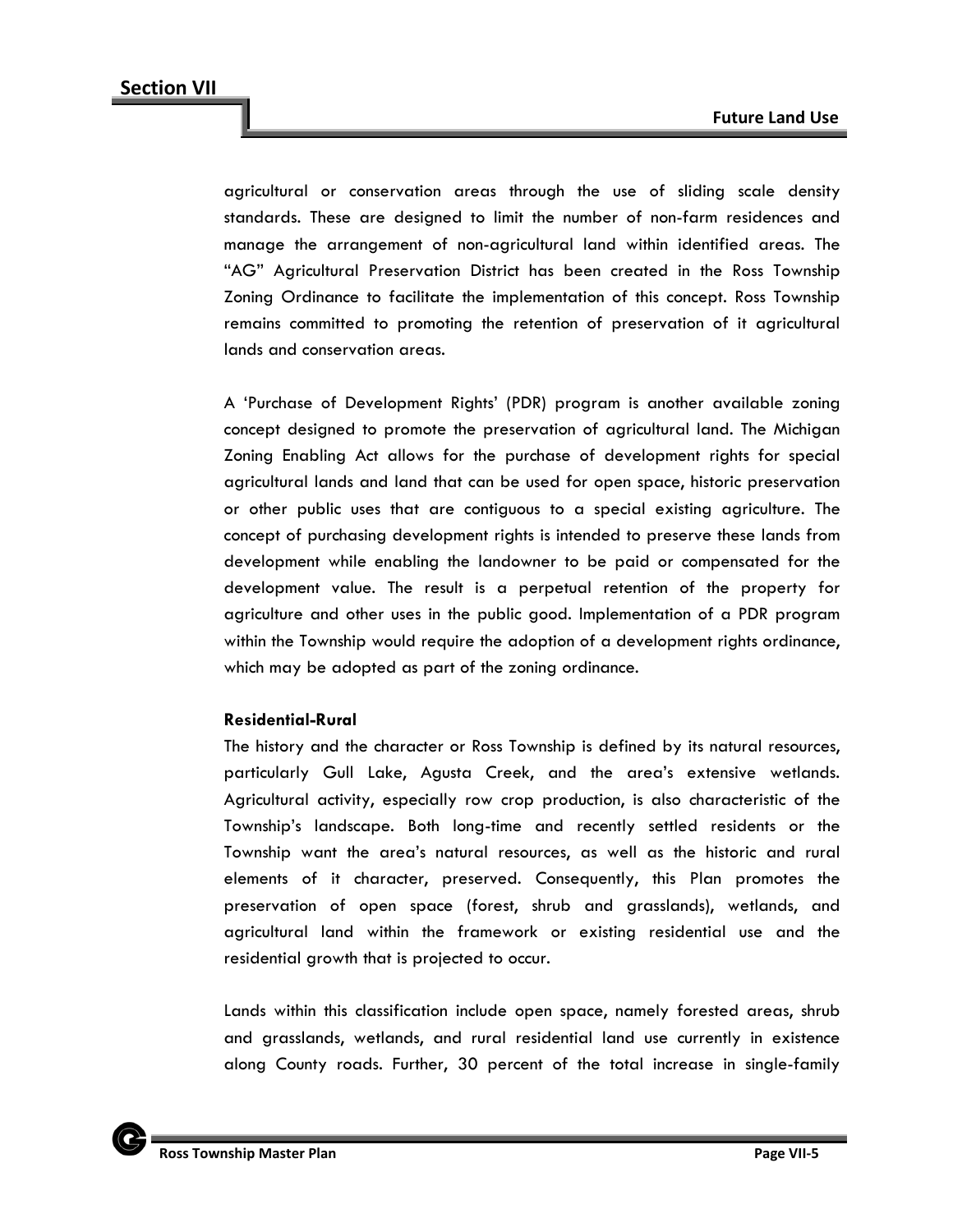agricultural or conservation areas through the use of sliding scale density standards. These are designed to limit the number of non-farm residences and manage the arrangement of non-agricultural land within identified areas. The "AG" Agricultural Preservation District has been created in the Ross Township Zoning Ordinance to facilitate the implementation of this concept. Ross Township remains committed to promoting the retention of preservation of it agricultural lands and conservation areas.

A 'Purchase of Development Rights' (PDR) program is another available zoning concept designed to promote the preservation of agricultural land. The Michigan Zoning Enabling Act allows for the purchase of development rights for special agricultural lands and land that can be used for open space, historic preservation or other public uses that are contiguous to a special existing agriculture. The concept of purchasing development rights is intended to preserve these lands from development while enabling the landowner to be paid or compensated for the development value. The result is a perpetual retention of the property for agriculture and other uses in the public good. Implementation of a PDR program within the Township would require the adoption of a development rights ordinance, which may be adopted as part of the zoning ordinance.

#### **Residential-Rural**

The history and the character or Ross Township is defined by its natural resources, particularly Gull Lake, Agusta Creek, and the area's extensive wetlands. Agricultural activity, especially row crop production, is also characteristic of the Township's landscape. Both long-time and recently settled residents or the Township want the area's natural resources, as well as the historic and rural elements of it character, preserved. Consequently, this Plan promotes the preservation of open space (forest, shrub and grasslands), wetlands, and agricultural land within the framework or existing residential use and the residential growth that is projected to occur.

Lands within this classification include open space, namely forested areas, shrub and grasslands, wetlands, and rural residential land use currently in existence along County roads. Further, 30 percent of the total increase in single-family

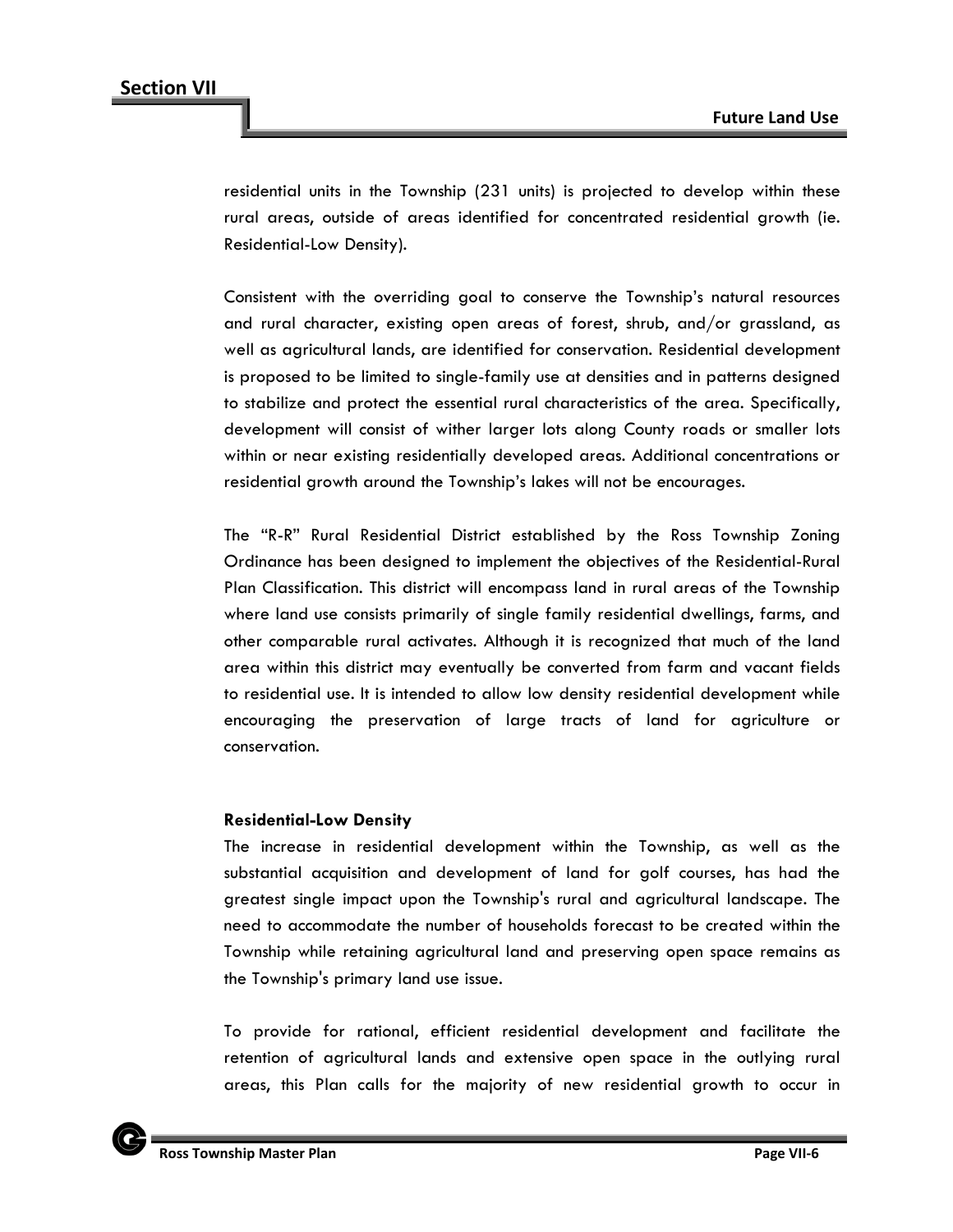residential units in the Township (231 units) is projected to develop within these rural areas, outside of areas identified for concentrated residential growth (ie. Residential-Low Density).

Consistent with the overriding goal to conserve the Township's natural resources and rural character, existing open areas of forest, shrub, and/or grassland, as well as agricultural lands, are identified for conservation. Residential development is proposed to be limited to single-family use at densities and in patterns designed to stabilize and protect the essential rural characteristics of the area. Specifically, development will consist of wither larger lots along County roads or smaller lots within or near existing residentially developed areas. Additional concentrations or residential growth around the Township's lakes will not be encourages.

The "R-R" Rural Residential District established by the Ross Township Zoning Ordinance has been designed to implement the objectives of the Residential-Rural Plan Classification. This district will encompass land in rural areas of the Township where land use consists primarily of single family residential dwellings, farms, and other comparable rural activates. Although it is recognized that much of the land area within this district may eventually be converted from farm and vacant fields to residential use. It is intended to allow low density residential development while encouraging the preservation of large tracts of land for agriculture or conservation.

#### **Residential-Low Density**

The increase in residential development within the Township, as well as the substantial acquisition and development of land for golf courses, has had the greatest single impact upon the Township's rural and agricultural landscape. The need to accommodate the number of households forecast to be created within the Township while retaining agricultural land and preserving open space remains as the Township's primary land use issue.

To provide for rational, efficient residential development and facilitate the retention of agricultural lands and extensive open space in the outlying rural areas, this Plan calls for the majority of new residential growth to occur in

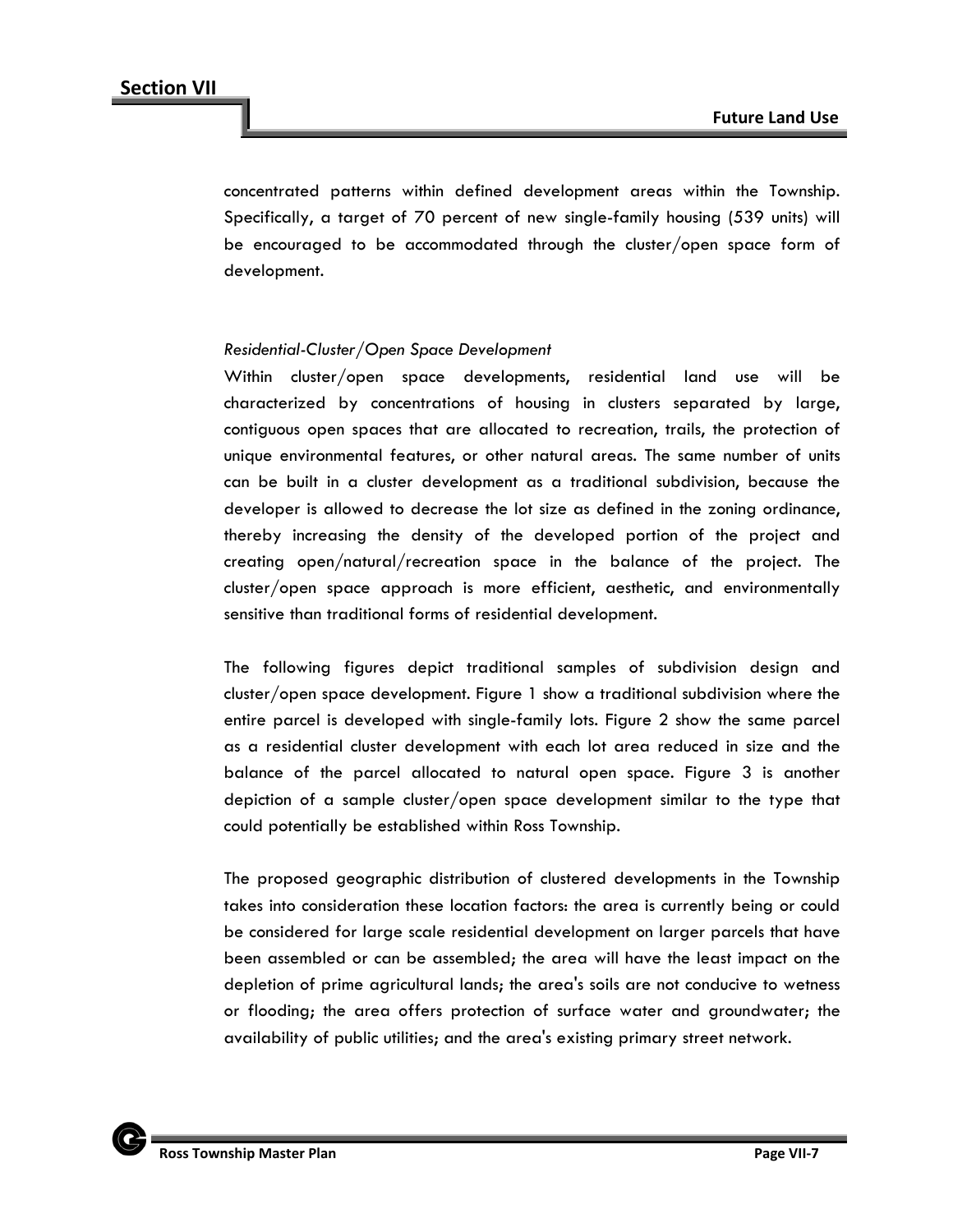concentrated patterns within defined development areas within the Township. Specifically, a target of 70 percent of new single-family housing (539 units) will be encouraged to be accommodated through the cluster/open space form of development.

#### *Residential-Cluster/Open Space Development*

Within cluster/open space developments, residential land use will be characterized by concentrations of housing in clusters separated by large, contiguous open spaces that are allocated to recreation, trails, the protection of unique environmental features, or other natural areas. The same number of units can be built in a cluster development as a traditional subdivision, because the developer is allowed to decrease the lot size as defined in the zoning ordinance, thereby increasing the density of the developed portion of the project and creating open/natural/recreation space in the balance of the project. The cluster/open space approach is more efficient, aesthetic, and environmentally sensitive than traditional forms of residential development.

The following figures depict traditional samples of subdivision design and cluster/open space development. Figure 1 show a traditional subdivision where the entire parcel is developed with single-family lots. Figure 2 show the same parcel as a residential cluster development with each lot area reduced in size and the balance of the parcel allocated to natural open space. Figure 3 is another depiction of a sample cluster/open space development similar to the type that could potentially be established within Ross Township.

The proposed geographic distribution of clustered developments in the Township takes into consideration these location factors: the area is currently being or could be considered for large scale residential development on larger parcels that have been assembled or can be assembled; the area will have the least impact on the depletion of prime agricultural lands; the area's soils are not conducive to wetness or flooding; the area offers protection of surface water and groundwater; the availability of public utilities; and the area's existing primary street network.

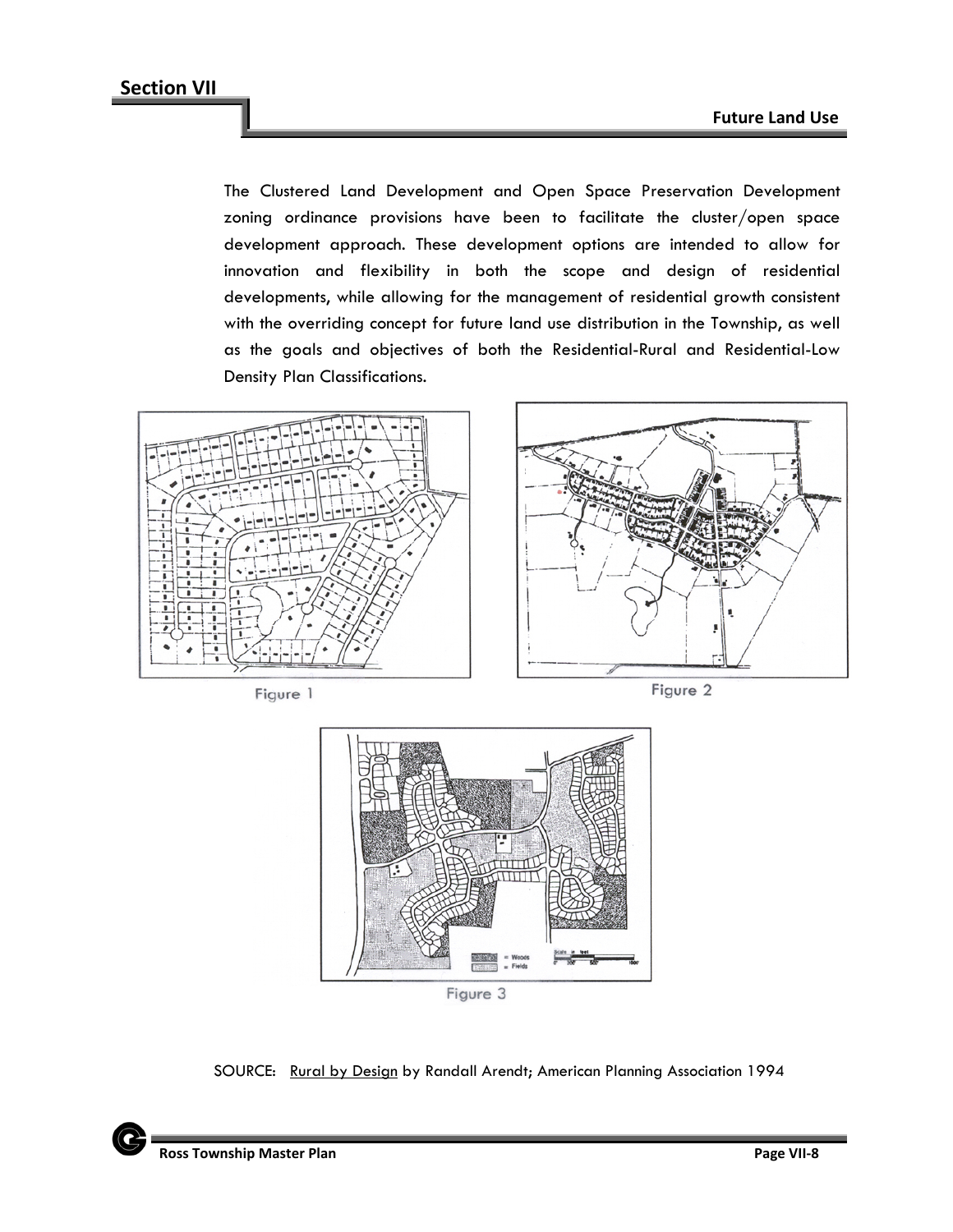The Clustered Land Development and Open Space Preservation Development zoning ordinance provisions have been to facilitate the cluster/open space development approach. These development options are intended to allow for innovation and flexibility in both the scope and design of residential developments, while allowing for the management of residential growth consistent with the overriding concept for future land use distribution in the Township, as well as the goals and objectives of both the Residential-Rural and Residential-Low Density Plan Classifications.



Figure 3

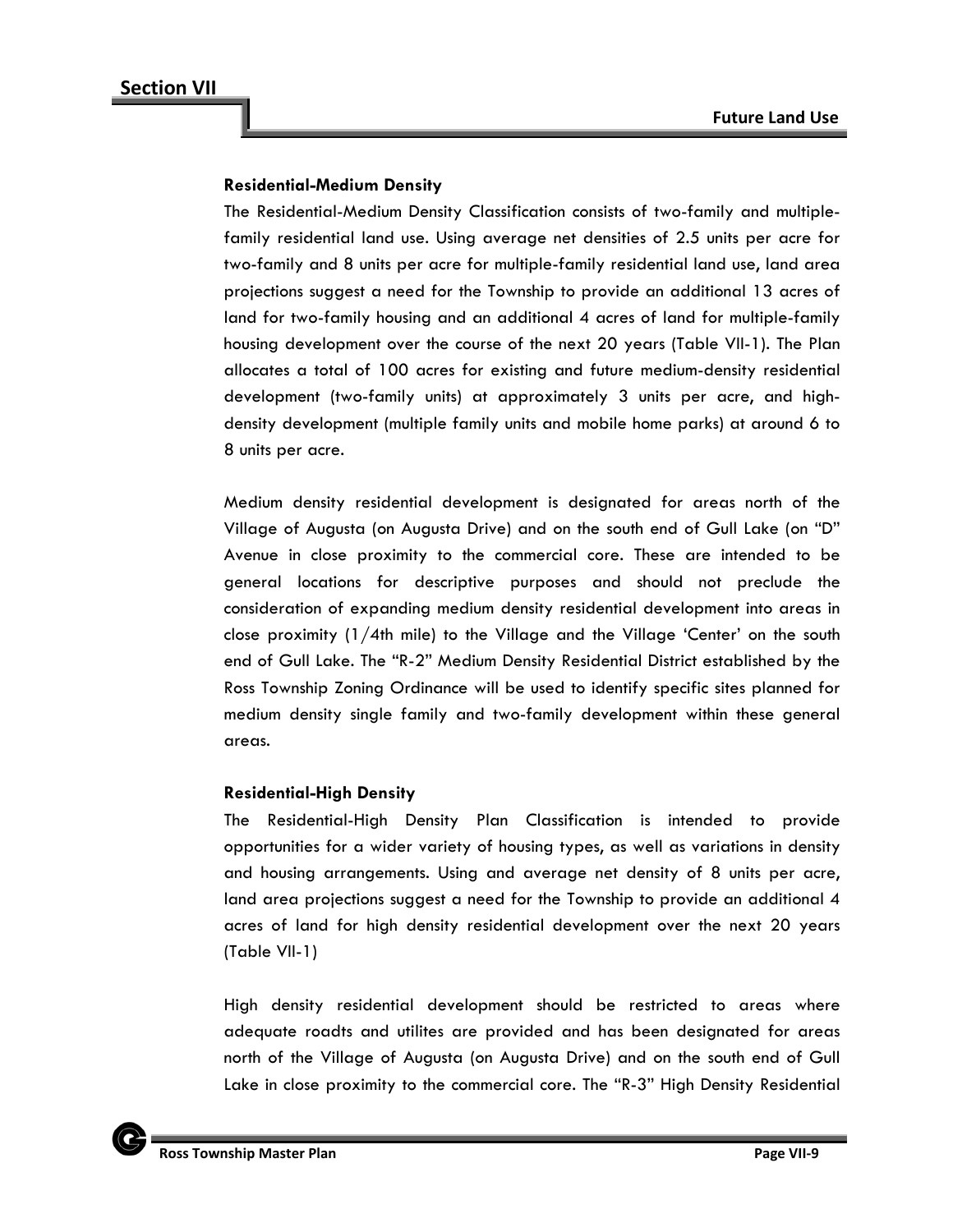## **Residential-Medium Density**

The Residential-Medium Density Classification consists of two-family and multiplefamily residential land use. Using average net densities of 2.5 units per acre for two-family and 8 units per acre for multiple-family residential land use, land area projections suggest a need for the Township to provide an additional 13 acres of land for two-family housing and an additional 4 acres of land for multiple-family housing development over the course of the next 20 years (Table VII-1). The Plan allocates a total of 100 acres for existing and future medium-density residential development (two-family units) at approximately 3 units per acre, and highdensity development (multiple family units and mobile home parks) at around 6 to 8 units per acre.

Medium density residential development is designated for areas north of the Village of Augusta (on Augusta Drive) and on the south end of Gull Lake (on "D" Avenue in close proximity to the commercial core. These are intended to be general locations for descriptive purposes and should not preclude the consideration of expanding medium density residential development into areas in close proximity  $(1/4$ th mile) to the Village and the Village 'Center' on the south end of Gull Lake. The "R-2" Medium Density Residential District established by the Ross Township Zoning Ordinance will be used to identify specific sites planned for medium density single family and two-family development within these general areas.

#### **Residential-High Density**

The Residential-High Density Plan Classification is intended to provide opportunities for a wider variety of housing types, as well as variations in density and housing arrangements. Using and average net density of 8 units per acre, land area projections suggest a need for the Township to provide an additional 4 acres of land for high density residential development over the next 20 years (Table VII-1)

High density residential development should be restricted to areas where adequate roadts and utilites are provided and has been designated for areas north of the Village of Augusta (on Augusta Drive) and on the south end of Gull Lake in close proximity to the commercial core. The "R-3" High Density Residential

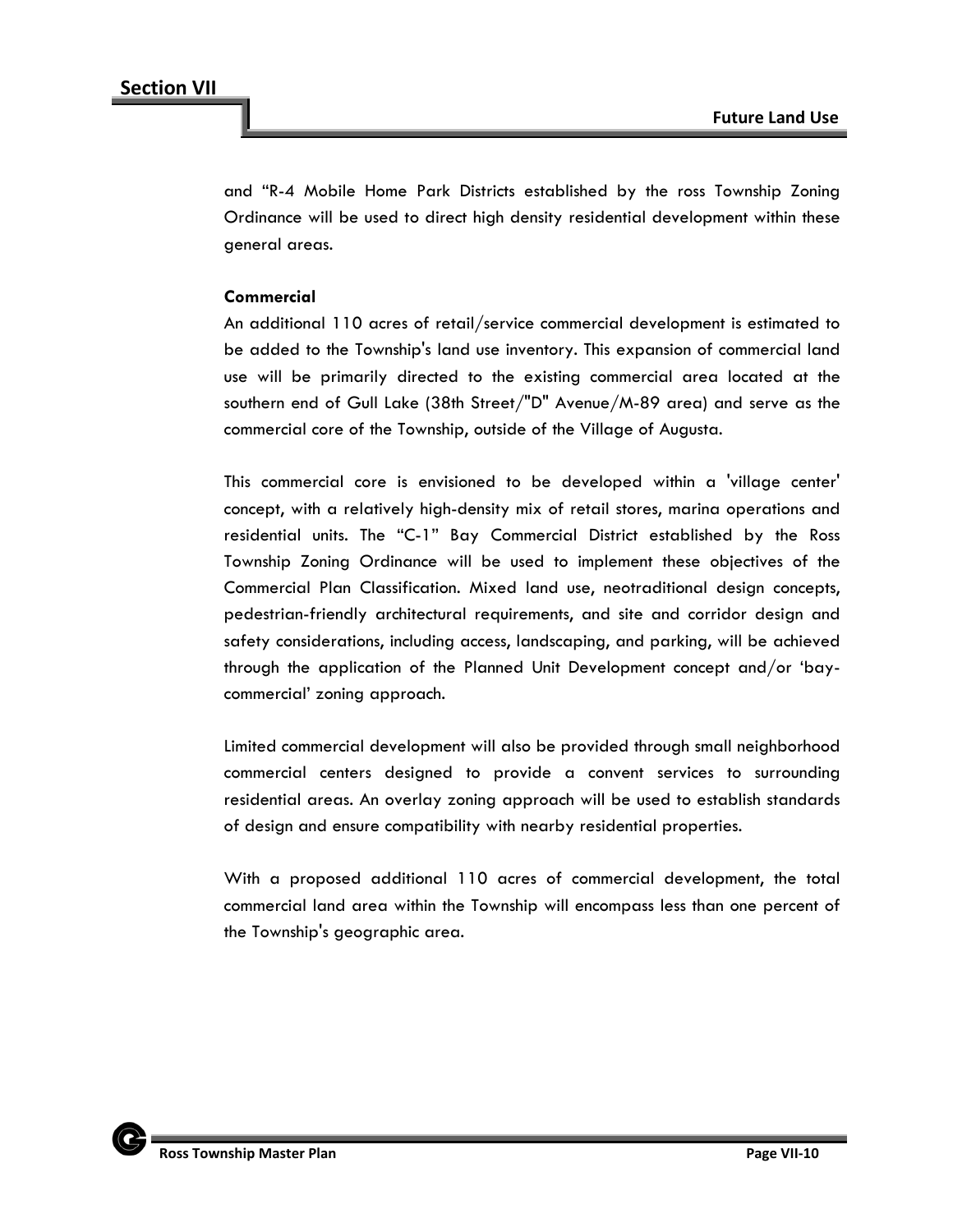and "R-4 Mobile Home Park Districts established by the ross Township Zoning Ordinance will be used to direct high density residential development within these general areas.

## **Commercial**

An additional 110 acres of retail/service commercial development is estimated to be added to the Township's land use inventory. This expansion of commercial land use will be primarily directed to the existing commercial area located at the southern end of Gull Lake (38th Street/"D" Avenue/M-89 area) and serve as the commercial core of the Township, outside of the Village of Augusta.

This commercial core is envisioned to be developed within a 'village center' concept, with a relatively high-density mix of retail stores, marina operations and residential units. The "C-1" Bay Commercial District established by the Ross Township Zoning Ordinance will be used to implement these objectives of the Commercial Plan Classification. Mixed land use, neotraditional design concepts, pedestrian-friendly architectural requirements, and site and corridor design and safety considerations, including access, landscaping, and parking, will be achieved through the application of the Planned Unit Development concept and/or 'baycommercial' zoning approach.

Limited commercial development will also be provided through small neighborhood commercial centers designed to provide a convent services to surrounding residential areas. An overlay zoning approach will be used to establish standards of design and ensure compatibility with nearby residential properties.

With a proposed additional 110 acres of commercial development, the total commercial land area within the Township will encompass less than one percent of the Township's geographic area.

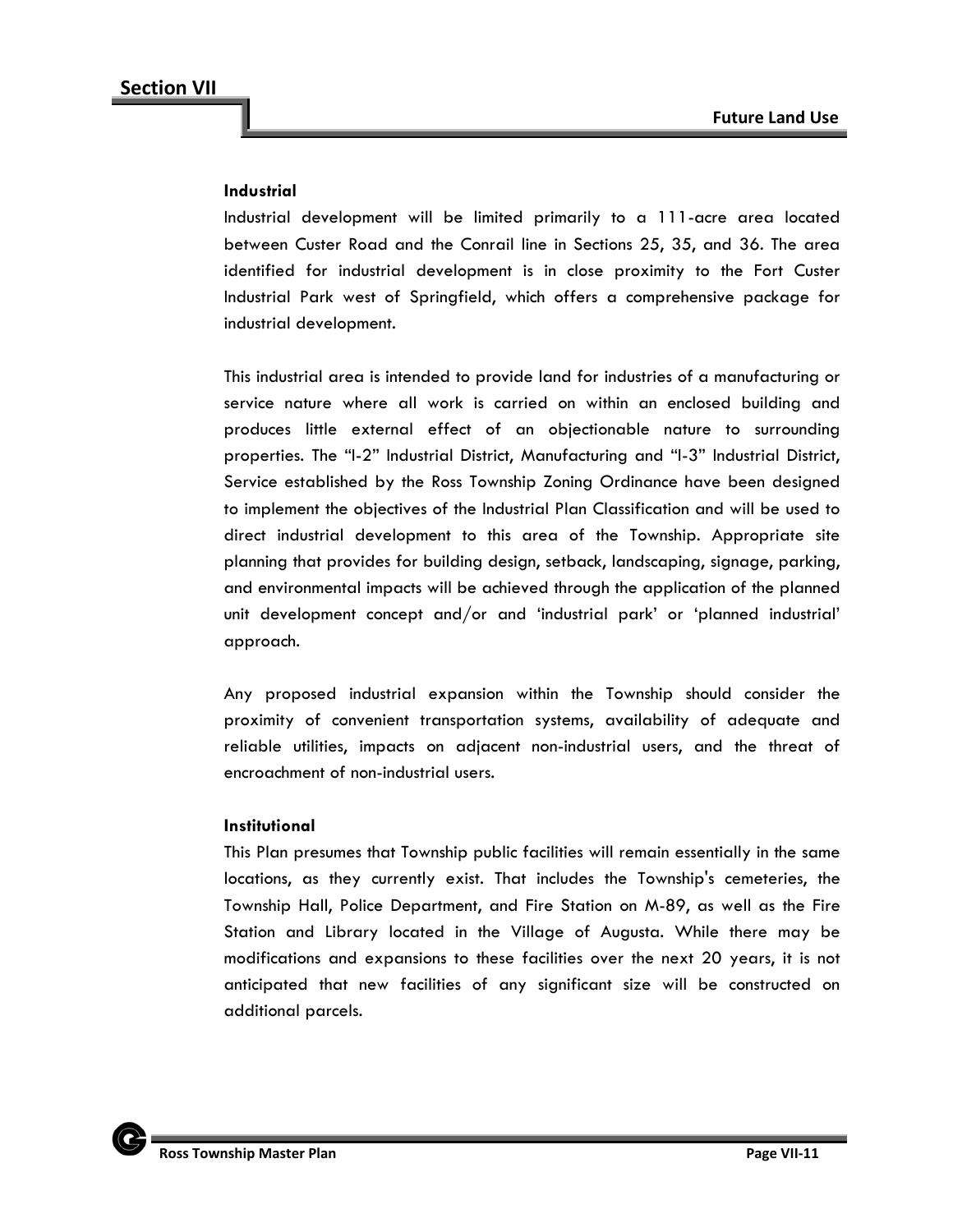#### **Industrial**

Industrial development will be limited primarily to a 111-acre area located between Custer Road and the Conrail line in Sections 25, 35, and 36. The area identified for industrial development is in close proximity to the Fort Custer Industrial Park west of Springfield, which offers a comprehensive package for industrial development.

This industrial area is intended to provide land for industries of a manufacturing or service nature where all work is carried on within an enclosed building and produces little external effect of an objectionable nature to surrounding properties. The "I-2" Industrial District, Manufacturing and "I-3" Industrial District, Service established by the Ross Township Zoning Ordinance have been designed to implement the objectives of the Industrial Plan Classification and will be used to direct industrial development to this area of the Township. Appropriate site planning that provides for building design, setback, landscaping, signage, parking, and environmental impacts will be achieved through the application of the planned unit development concept and/or and 'industrial park' or 'planned industrial' approach.

Any proposed industrial expansion within the Township should consider the proximity of convenient transportation systems, availability of adequate and reliable utilities, impacts on adjacent non-industrial users, and the threat of encroachment of non-industrial users.

#### **Institutional**

This Plan presumes that Township public facilities will remain essentially in the same locations, as they currently exist. That includes the Township's cemeteries, the Township Hall, Police Department, and Fire Station on M-89, as well as the Fire Station and Library located in the Village of Augusta. While there may be modifications and expansions to these facilities over the next 20 years, it is not anticipated that new facilities of any significant size will be constructed on additional parcels.

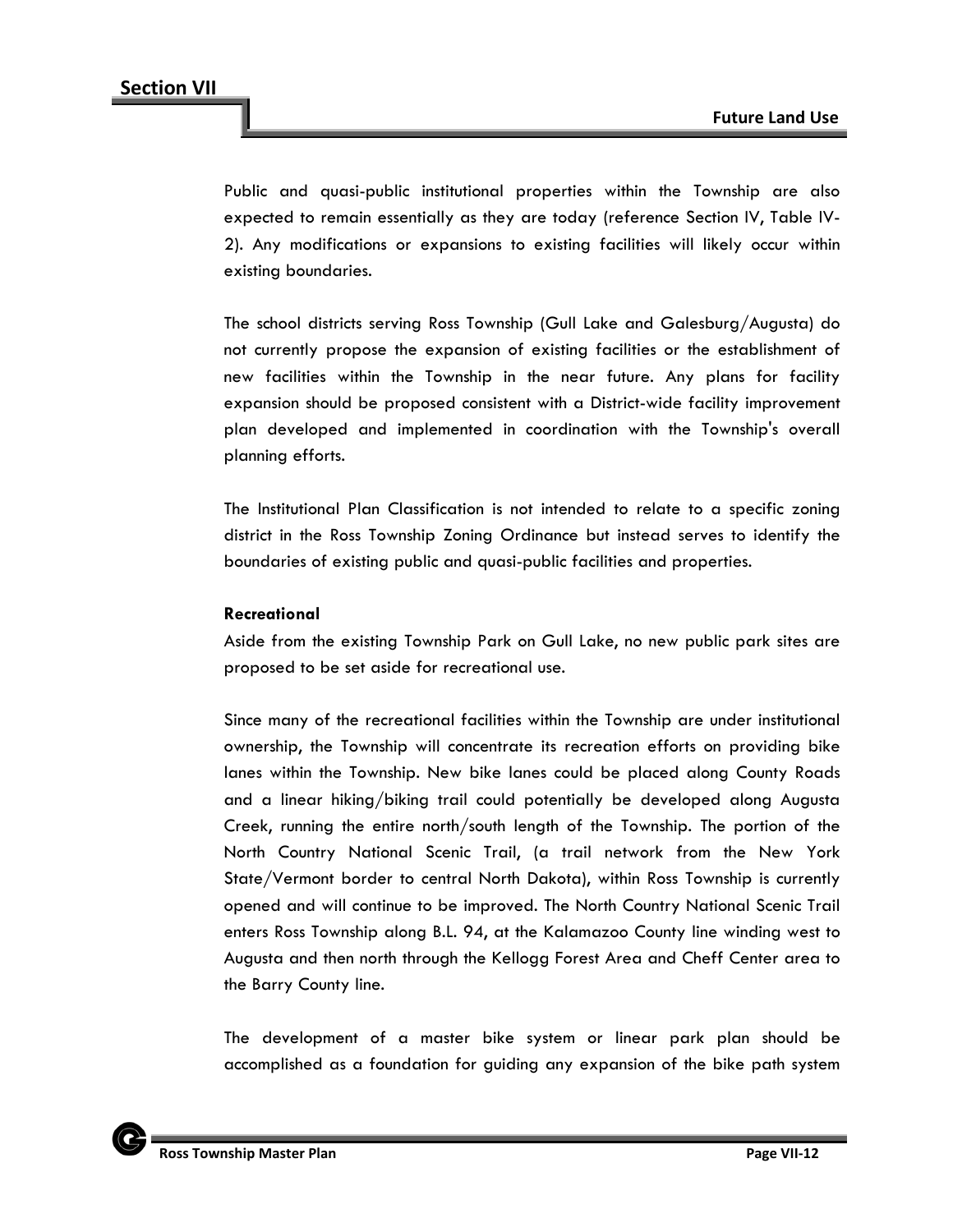Public and quasi-public institutional properties within the Township are also expected to remain essentially as they are today (reference Section IV, Table IV-2). Any modifications or expansions to existing facilities will likely occur within existing boundaries.

The school districts serving Ross Township (Gull Lake and Galesburg/Augusta) do not currently propose the expansion of existing facilities or the establishment of new facilities within the Township in the near future. Any plans for facility expansion should be proposed consistent with a District-wide facility improvement plan developed and implemented in coordination with the Township's overall planning efforts.

The Institutional Plan Classification is not intended to relate to a specific zoning district in the Ross Township Zoning Ordinance but instead serves to identify the boundaries of existing public and quasi-public facilities and properties.

#### **Recreational**

Aside from the existing Township Park on Gull Lake, no new public park sites are proposed to be set aside for recreational use.

Since many of the recreational facilities within the Township are under institutional ownership, the Township will concentrate its recreation efforts on providing bike lanes within the Township. New bike lanes could be placed along County Roads and a linear hiking/biking trail could potentially be developed along Augusta Creek, running the entire north/south length of the Township. The portion of the North Country National Scenic Trail, (a trail network from the New York State/Vermont border to central North Dakota), within Ross Township is currently opened and will continue to be improved. The North Country National Scenic Trail enters Ross Township along B.L. 94, at the Kalamazoo County line winding west to Augusta and then north through the Kellogg Forest Area and Cheff Center area to the Barry County line.

The development of a master bike system or linear park plan should be accomplished as a foundation for guiding any expansion of the bike path system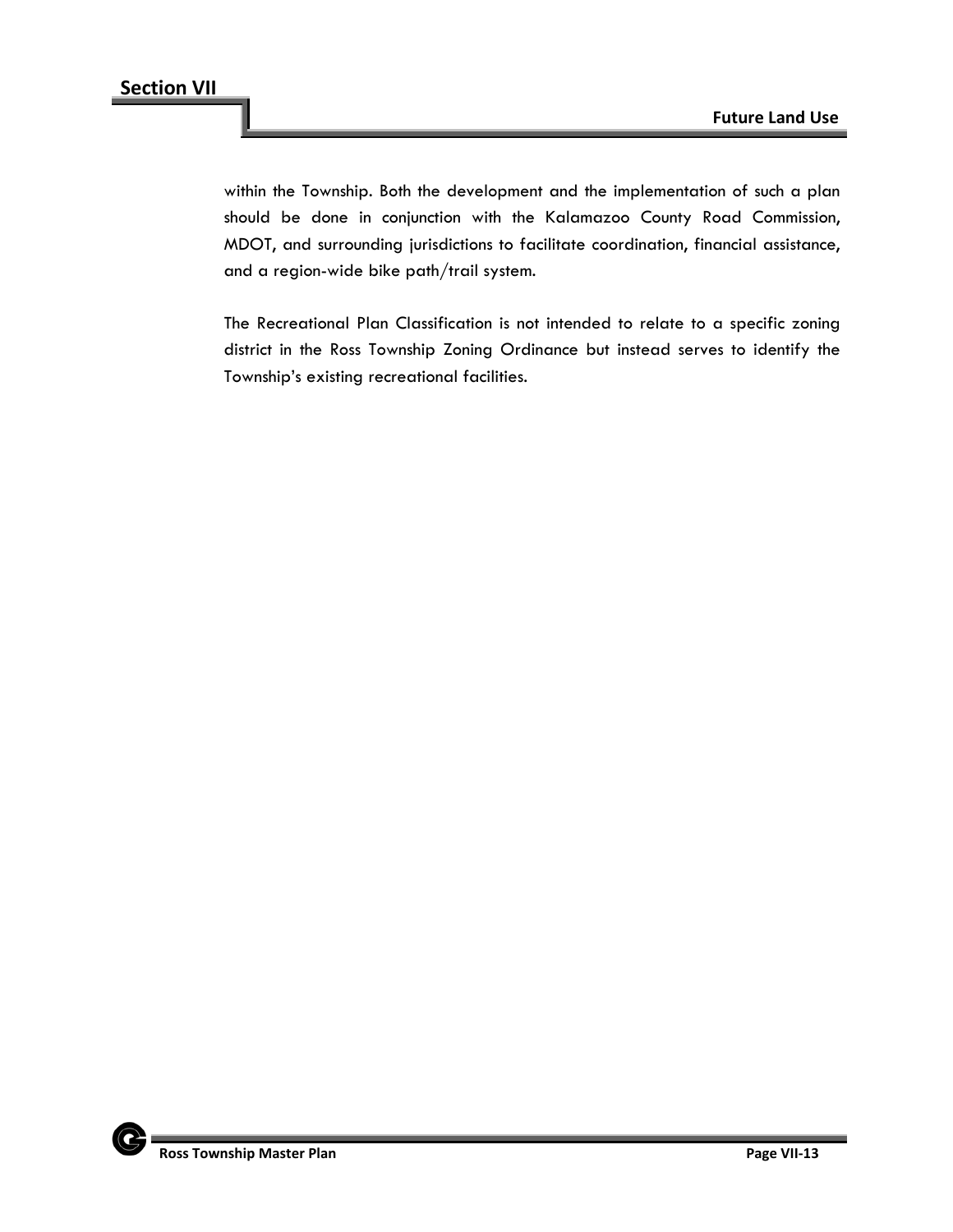within the Township. Both the development and the implementation of such a plan should be done in conjunction with the Kalamazoo County Road Commission, MDOT, and surrounding jurisdictions to facilitate coordination, financial assistance, and a region-wide bike path/trail system.

The Recreational Plan Classification is not intended to relate to a specific zoning district in the Ross Township Zoning Ordinance but instead serves to identify the Township's existing recreational facilities.